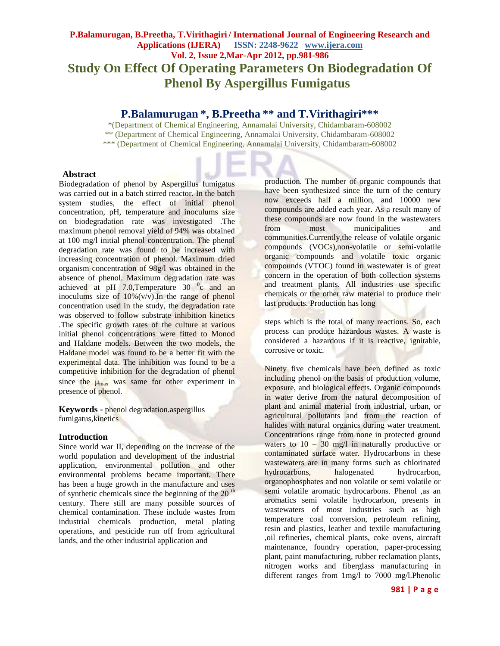# **P.Balamurugan, B.Preetha, T.Virithagiri / International Journal of Engineering Research and Applications (IJERA) ISSN: 2248-9622 www.ijera.com Vol. 2, Issue 2,Mar-Apr 2012, pp.981-986 Study On Effect Of Operating Parameters On Biodegradation Of Phenol By Aspergillus Fumigatus**

# **P.Balamurugan \*, B.Preetha \*\* and T.Virithagiri\*\*\***

\*(Department of Chemical Engineering, Annamalai University, Chidambaram-608002 \*\* (Department of Chemical Engineering, Annamalai University, Chidambaram-608002 \*\*\* (Department of Chemical Engineering, Annamalai University, Chidambaram-608002

## **Abstract**

Biodegradation of phenol by Aspergillus fumigatus was carried out in a batch stirred reactor. In the batch system studies, the effect of initial phenol concentration, pH, temperature and inoculums size on biodegradation rate was investigated .The maximum phenol removal yield of 94% was obtained at 100 mg/l initial phenol concentration. The phenol degradation rate was found to be increased with increasing concentration of phenol. Maximum dried organism concentration of 98g/l was obtained in the absence of phenol. Maximum degradation rate was achieved at pH  $7.0$ , Temperature  $30<sup>o</sup>c$  and an inoculums size of  $10\%$  (v/v). In the range of phenol concentration used in the study, the degradation rate was observed to follow substrate inhibition kinetics .The specific growth rates of the culture at various initial phenol concentrations were fitted to Monod and Haldane models. Between the two models, the Haldane model was found to be a better fit with the experimental data. The inhibition was found to be a competitive inhibition for the degradation of phenol since the  $\mu_{\text{max}}$  was same for other experiment in presence of phenol.

**Keywords -** phenol degradation.aspergillus fumigatus,kinetics

# **Introduction**

Since world war II, depending on the increase of the world population and development of the industrial application, environmental pollution and other environmental problems became important. There has been a huge growth in the manufacture and uses of synthetic chemicals since the beginning of the  $20<sup>th</sup>$ century. There still are many possible sources of chemical contamination. These include wastes from industrial chemicals production, metal plating operations, and pesticide run off from agricultural lands, and the other industrial application and

production. The number of organic compounds that have been synthesized since the turn of the century now exceeds half a million, and 10000 new compounds are added each year. As a result many of these compounds are now found in the wastewaters from most municipalities and communities.Currently,the release of volatile organic compounds (VOCs),non-volatile or semi-volatile organic compounds and volatile toxic organic compounds (VTOC) found in wastewater is of great concern in the operation of both collection systems and treatment plants. All industries use specific chemicals or the other raw material to produce their last products. Production has long

steps which is the total of many reactions. So, each process can produce hazardous wastes. A waste is considered a hazardous if it is reactive, ignitable, corrosive or toxic.

Ninety five chemicals have been defined as toxic including phenol on the basis of production volume, exposure, and biological effects. Organic compounds in water derive from the natural decomposition of plant and animal material from industrial, urban, or agricultural pollutants and from the reaction of halides with natural organics during water treatment. Concentrations range from none in protected ground waters to  $10 - 30$  mg/l in naturally productive or contaminated surface water. Hydrocarbons in these wastewaters are in many forms such as chlorinated hydrocarbons, halogenated hydrocarbon, organophosphates and non volatile or semi volatile or semi volatile aromatic hydrocarbons. Phenol ,as an aromatics semi volatile hydrocarbon, presents in wastewaters of most industries such as high temperature coal conversion, petroleum refining, resin and plastics, leather and textile manufacturing ,oil refineries, chemical plants, coke ovens, aircraft maintenance, foundry operation, paper-processing plant, paint manufacturing, rubber reclamation plants, nitrogen works and fiberglass manufacturing in different ranges from 1mg/l to 7000 mg/l.Phenolic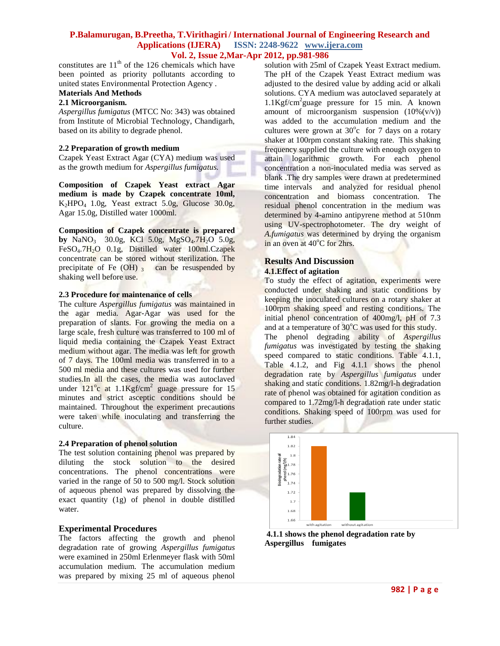constitutes are  $11<sup>th</sup>$  of the 126 chemicals which have been pointed as priority pollutants according to united states Environmental Protection Agency .

# **Materials And Methods**

# **2.1 Microorganism.**

*Aspergillus fumigatus* (MTCC No: 343) was obtained from Institute of Microbial Technology, Chandigarh, based on its ability to degrade phenol.

#### **2.2 Preparation of growth medium**

Czapek Yeast Extract Agar (CYA) medium was used as the growth medium for *Aspergillus fumigatus.*

**Composition of Czapek Yeast extract Agar medium is made by Czapek concentrate 10ml,**  $K<sub>2</sub>HPO<sub>4</sub>$  1.0g, Yeast extract 5.0g, Glucose 30.0g, Agar 15.0g, Distilled water 1000ml.

**Composition of Czapek concentrate is prepared by**  $\text{NaNO}_3$  30.0g, KCl 5.0g, MgSO<sub>4</sub>.7H<sub>2</sub>O 5.0g, FeSO<sub>4</sub>.7H<sub>2</sub>O 0.1g, Distilled water 100ml.Czapek concentrate can be stored without sterilization. The precipitate of Fe  $(OH)$   $<sub>3</sub>$  can be resuspended by</sub> shaking well before use.

#### **2.3 Procedure for maintenance of cells**

The culture *Aspergillus fumigatus* was maintained in the agar media. Agar-Agar was used for the preparation of slants. For growing the media on a large scale, fresh culture was transferred to 100 ml of liquid media containing the Czapek Yeast Extract medium without agar. The media was left for growth of 7 days. The 100ml media was transferred in to a 500 ml media and these cultures was used for further studies.In all the cases, the media was autoclaved under  $121^{\circ}$ c at  $1.1$ Kgf/cm<sup>2</sup> guage pressure for 15 minutes and strict asceptic conditions should be maintained. Throughout the experiment precautions were taken while inoculating and transferring the culture.

#### **2.4 Preparation of phenol solution**

The test solution containing phenol was prepared by diluting the stock solution to the desired concentrations. The phenol concentrations were varied in the range of 50 to 500 mg/l. Stock solution of aqueous phenol was prepared by dissolving the exact quantity (1g) of phenol in double distilled water.

#### **Experimental Procedures**

The factors affecting the growth and phenol degradation rate of growing *Aspergillus fumigatus* were examined in 250ml Erlenmeyer flask with 50ml accumulation medium. The accumulation medium was prepared by mixing 25 ml of aqueous phenol solution with 25ml of Czapek Yeast Extract medium. The pH of the Czapek Yeast Extract medium was adjusted to the desired value by adding acid or alkali solutions. CYA medium was autoclaved separately at 1.1Kgf/cm<sup>2</sup> guage pressure for 15 min. A known amount of microorganism suspension  $(10\%(v/v))$ was added to the accumulation medium and the cultures were grown at  $30^{\circ}$ c for 7 days on a rotary shaker at 100rpm constant shaking rate. This shaking frequency supplied the culture with enough oxygen to attain logarithmic growth. For each phenol concentration a non-inoculated media was served as blank .The dry samples were drawn at predetermined time intervals and analyzed for residual phenol concentration and biomass concentration. The residual phenol concentration in the medium was determined by 4-amino antipyrene method at 510nm using UV-spectrophotometer. The dry weight of *A.fumigatus* was determined by drying the organism in an oven at  $40^{\circ}$ C for 2hrs.

# **Results And Discussion**

#### **4.1.Effect of agitation**

To study the effect of agitation, experiments were conducted under shaking and static conditions by keeping the inoculated cultures on a rotary shaker at 100rpm shaking speed and resting conditions. The initial phenol concentration of 400mg/l, pH of 7.3 and at a temperature of  $30^{\circ}$ C was used for this study.

The phenol degrading ability of *Aspergillus fumigatus* was investigated by testing the shaking speed compared to static conditions. Table 4.1.1, Table 4.1.2, and Fig 4.1.1 shows the phenol degradation rate by *Aspergillus fumigatus* under shaking and static conditions. 1.82mg/l-h degradation rate of phenol was obtained for agitation condition as compared to 1.72mg/l-h degradation rate under static conditions. Shaking speed of 100rpm was used for further studies.



**4.1.1 shows the phenol degradation rate by Aspergillus fumigates**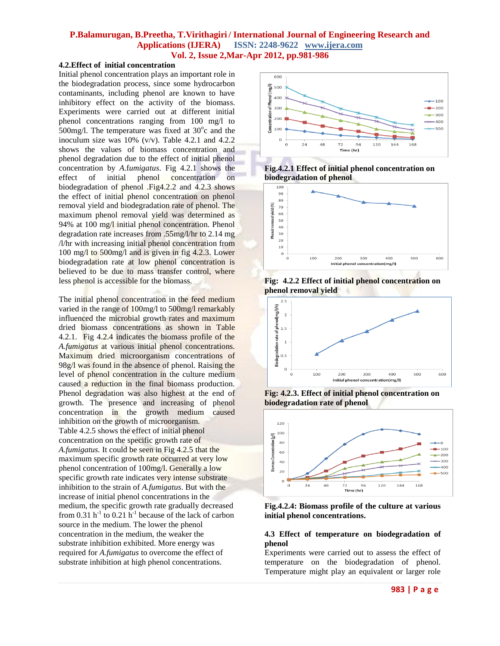# **4.2.Effect of initial concentration**

Initial phenol concentration plays an important role in the biodegradation process, since some hydrocarbon contaminants, including phenol are known to have inhibitory effect on the activity of the biomass. Experiments were carried out at different initial phenol concentrations ranging from 100 mg/l to  $500$ mg/l. The temperature was fixed at  $30^{\circ}$ c and the inoculum size was  $10\%$  (v/v). Table 4.2.1 and 4.2.2 shows the values of biomass concentration and phenol degradation due to the effect of initial phenol concentration by *A*.f*umigatus*. Fig 4.2.1 shows the effect of initial phenol concentration on biodegradation of phenol .Fig4.2.2 and 4.2.3 shows the effect of initial phenol concentration on phenol removal yield and biodegradation rate of phenol. The maximum phenol removal yield was determined as 94% at 100 mg/l initial phenol concentration. Phenol degradation rate increases from .55mg/l/hr to 2.14 mg /l/hr with increasing initial phenol concentration from 100 mg/l to 500mg/l and is given in fig 4.2.3. Lower biodegradation rate at low phenol concentration is believed to be due to mass transfer control, where less phenol is accessible for the biomass.

The initial phenol concentration in the feed medium varied in the range of 100mg/l to 500mg/l remarkably influenced the microbial growth rates and maximum dried biomass concentrations as shown in Table 4.2.1. Fig 4.2.4 indicates the biomass profile of the *A.fumigatus* at various initial phenol concentrations. Maximum dried microorganism concentrations of 98g/l was found in the absence of phenol. Raising the level of phenol concentration in the culture medium caused a reduction in the final biomass production. Phenol degradation was also highest at the end of growth. The presence and increasing of phenol concentration in the growth medium caused inhibition on the growth of microorganism. Table 4.2.5 shows the effect of initial phenol concentration on the specific growth rate of *A.fumigatus.* It could be seen in Fig 4.2.5 that the maximum specific growth rate occurred at very low phenol concentration of 100mg/l. Generally a low specific growth rate indicates very intense substrate inhibition to the strain of *A.fumigatus*. But with the increase of initial phenol concentrations in the medium, the specific growth rate gradually decreased from 0.31 h<sup>-1</sup> to 0.21 h<sup>-1</sup> because of the lack of carbon source in the medium. The lower the phenol concentration in the medium, the weaker the substrate inhibition exhibited. More energy was required for *A.fumigatus* to overcome the effect of substrate inhibition at high phenol concentrations.







**Fig: 4.2.2 Effect of initial phenol concentration on phenol removal yield**



**Fig: 4.2.3. Effect of initial phenol concentration on biodegradation rate of phenol**



**Fig.4.2.4: Biomass profile of the culture at various initial phenol concentrations.**

#### **4.3 Effect of temperature on biodegradation of phenol**

Experiments were carried out to assess the effect of temperature on the biodegradation of phenol. Temperature might play an equivalent or larger role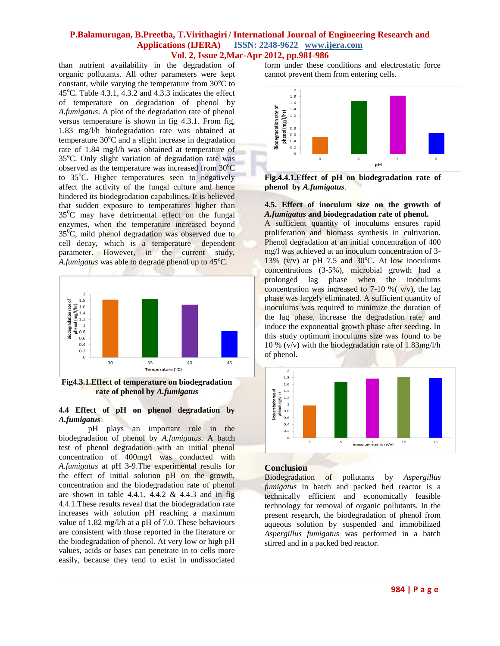than nutrient availability in the degradation of organic pollutants. All other parameters were kept constant, while varying the temperature from  $30^{\circ}$ C to 45 $^{\circ}$ C. Table 4.3.1, 4.3.2 and 4.3.3 indicates the effect of temperature on degradation of phenol by *A.fumigatus*. A plot of the degradation rate of phenol versus temperature is shown in fig 4.3.1. From fig, 1.83 mg/l/h biodegradation rate was obtained at temperature  $30^{\circ}$ C and a slight increase in degradation rate of 1.84 mg/l/h was obtained at temperature of 35°C. Only slight variation of degradation rate was observed as the temperature was increased from  $30^{\circ}$ C to 35°C. Higher temperatures seen to negatively affect the activity of the fungal culture and hence hindered its biodegradation capabilities. It is believed that sudden exposure to temperatures higher than  $35^{\circ}$ C may have detrimental effect on the fungal enzymes, when the temperature increased beyond  $35^{\circ}$ C, mild phenol degradation was observed due to cell decay, which is a temperature –dependent parameter. However, in the current study, *A.fumigatus* was able to degrade phenol up to 45<sup>o</sup>C.



**Fig4.3.1.Effect of temperature on biodegradation rate of phenol by** *A.fumigatus*

#### **4.4 Effect of pH on phenol degradation by**  *A.fumigatus*

pH plays an important role in the biodegradation of phenol by *A.fumigatus*. A batch test of phenol degradation with an initial phenol concentration of 400mg/l was conducted with *A.fumigatus* at pH 3-9.The experimental results for the effect of initial solution pH on the growth, concentration and the biodegradation rate of phenol are shown in table 4.4.1, 4.4.2  $\&$  4.4.3 and in fig 4.4.1.These results reveal that the biodegradation rate increases with solution pH reaching a maximum value of 1.82 mg/l/h at a pH of 7.0. These behaviours are consistent with those reported in the literature or the biodegradation of phenol. At very low or high pH values, acids or bases can penetrate in to cells more easily, because they tend to exist in undissociated form under these conditions and electrostatic force cannot prevent them from entering cells.



**Fig.4.4.1.Effect of pH on biodegradation rate of phenol by** *A.fumigatus*.

#### **4.5. Effect of inoculum size on the growth of**  *A.fumigatus* **and biodegradation rate of phenol.**

A sufficient quantity of inoculums ensures rapid proliferation and biomass synthesis in cultivation. Phenol degradation at an initial concentration of 400 mg/l was achieved at an inoculum concentration of 3- 13% (v/v) at pH 7.5 and 30 $^{\circ}$ C. At low inoculums concentrations (3-5%), microbial growth had a prolonged lag phase when the inoculums concentration was increased to 7-10 %  $(v/v)$ , the lag phase was largely eliminated. A sufficient quantity of inoculums was required to minimize the duration of the lag phase, increase the degradation rate, and induce the exponential growth phase after seeding. In this study optimum inoculums size was found to be 10 % (v/v) with the biodegradation rate of 1.83mg/l/h of phenol.



## **Conclusion**

Biodegradation of pollutants by *Aspergillus fumigatus* in batch and packed bed reactor is a technically efficient and economically feasible technology for removal of organic pollutants. In the present research, the biodegradation of phenol from aqueous solution by suspended and immobilized *Aspergillus fumigatus* was performed in a batch stirred and in a packed bed reactor.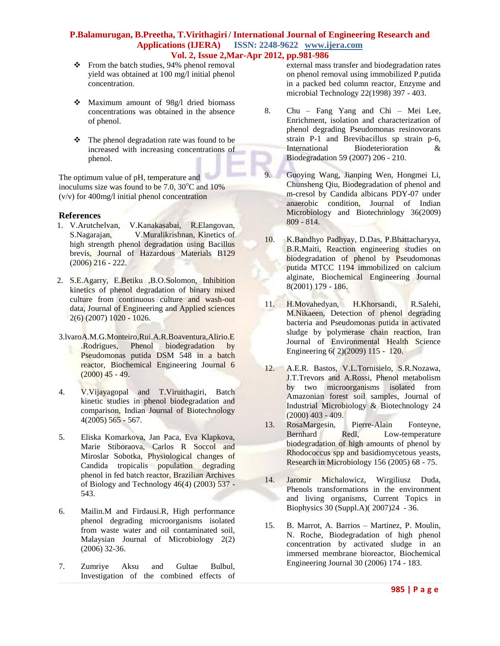- $\div$  From the batch studies, 94% phenol removal yield was obtained at 100 mg/l initial phenol concentration.
- Maximum amount of 98g/l dried biomass concentrations was obtained in the absence of phenol.
- $\div$  The phenol degradation rate was found to be increased with increasing concentrations of phenol.

The optimum value of pH, temperature and inoculums size was found to be  $7.0$ ,  $30^{\circ}$ C and  $10\%$ (v/v) for 400mg/l initial phenol concentration

#### **References**

- 1. V.Arutchelvan, V.Kanakasabai, R.Elangovan, S.Nagarajan, V.Muralikrishnan, Kinetics of high strength phenol degradation using Bacillus brevis, Journal of Hazardous Materials B129  $(2006)$  216 - 222.
- 2. S.E.Agarry, E.Betiku ,B.O.Solomon, Inhibition kinetics of phenol degradation of binary mixed culture from continuous culture and wash-out data, Journal of Engineering and Applied sciences 2(6) (2007) 1020 - 1026.
- 3.lvaroA.M.G.Monteiro,Rui.A.R.Boaventura,Alirio.E .Rodrigues, Phenol biodegradation by Pseudomonas putida DSM 548 in a batch reactor, Biochemical Engineering Journal 6  $(2000)$  45 - 49.
- 4. V.Vijayagopal and T.Viruithagiri, Batch kinetic studies in phenol biodegradation and comparison, Indian Journal of Biotechnology 4(2005) 565 - 567.
- 5. Eliska Komarkova, Jan Paca, Eva Klapkova, Marie Stiboraova, Carlos R Soccol and Miroslar Sobotka, Physiological changes of Candida tropicalis population degrading phenol in fed batch reactor, Brazilian Archives of Biology and Technology 46(4) (2003) 537 - 543.
- 6. Mailin.M and Firdausi.R, High performance phenol degrading microorganisms isolated from waste water and oil contaminated soil, Malaysian Journal of Microbiology 2(2) (2006) 32-36.
- 7. Zumriye Aksu and Gultae Bulbul, Investigation of the combined effects of

external mass transfer and biodegradation rates on phenol removal using immobilized P.putida in a packed bed column reactor, Enzyme and microbial Technology 22(1998) 397 - 403.

- 8. Chu Fang Yang and Chi Mei Lee, Enrichment, isolation and characterization of phenol degrading Pseudomonas resinovorans strain P-1 and Brevibacillus sp strain p-6, International Biodeterioration & Biodegradation 59 (2007) 206 - 210.
- 9. Guoying Wang, Jianping Wen, Hongmei Li, Chunsheng Qiu, Biodegradation of phenol and m-cresol by Candida albicans PDY-07 under anaerobic condition, Journal of Indian Microbiology and Biotechnology 36(2009) 809 - 814.
- 10. K.Bandhyo Padhyay, D.Das, P.Bhattacharyya, B.R.Maiti, Reaction engineering studies on biodegradation of phenol by Pseudomonas putida MTCC 1194 immobilized on calcium alginate, Biochemical Engineering Journal 8(2001) 179 - 186.
- 11. H.Movahedyan, H.Khorsandi, R.Salehi, M.Nikaeen, Detection of phenol degrading bacteria and Pseudomonas putida in activated sludge by polymerase chain reaction, Iran Journal of Environmental Health Science Engineering 6( 2)(2009) 115 - 120.
- 12. A.E.R. Bastos, V.L.Tornisielo, S.R.Nozawa, J.T.Trevors and A.Rossi, Phenol metabolism by two microorganisms isolated from Amazonian forest soil samples, Journal of Industrial Microbiology & Biotechnology 24  $(2000)$  403 - 409.
- 13. RosaMargesin, Pierre-Alain Fonteyne, Bernhard Redl, Low-temperature biodegradation of high amounts of phenol by Rhodococcus spp and basidiomycetous yeasts, Research in Microbiology 156 (2005) 68 - 75.
- 14. Jaromir Michalowicz, Wirgiliusz Duda, Phenols transformations in the environment and living organisms, Current Topics in Biophysics 30 (Suppl.A)( 2007)24 - 36.
- 15. B. Marrot, A. Barrios Martinez, P. Moulin, N. Roche, Biodegradation of high phenol concentration by activated sludge in an immersed membrane bioreactor, Biochemical Engineering Journal 30 (2006) 174 - 183.